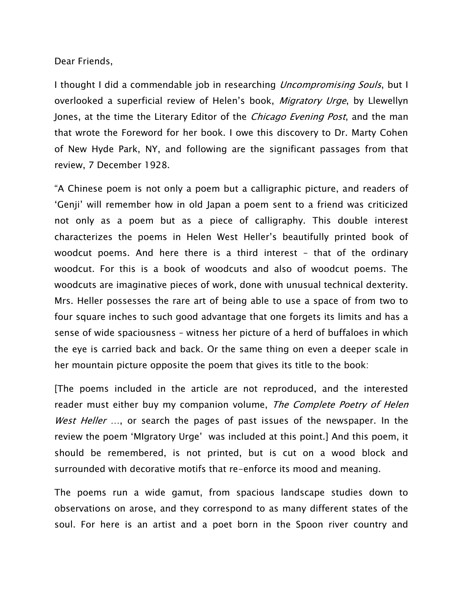Dear Friends,

I thought I did a commendable job in researching Uncompromising Souls, but I overlooked a superficial review of Helen's book, Migratory Urge, by Llewellyn Jones, at the time the Literary Editor of the *Chicago Evening Post*, and the man that wrote the Foreword for her book. I owe this discovery to Dr. Marty Cohen of New Hyde Park, NY, and following are the significant passages from that review, 7 December 1928.

"A Chinese poem is not only a poem but a calligraphic picture, and readers of 'Genji' will remember how in old Japan a poem sent to a friend was criticized not only as a poem but as a piece of calligraphy. This double interest characterizes the poems in Helen West Heller's beautifully printed book of woodcut poems. And here there is a third interest – that of the ordinary woodcut. For this is a book of woodcuts and also of woodcut poems. The woodcuts are imaginative pieces of work, done with unusual technical dexterity. Mrs. Heller possesses the rare art of being able to use a space of from two to four square inches to such good advantage that one forgets its limits and has a sense of wide spaciousness – witness her picture of a herd of buffaloes in which the eye is carried back and back. Or the same thing on even a deeper scale in her mountain picture opposite the poem that gives its title to the book:

[The poems included in the article are not reproduced, and the interested reader must either buy my companion volume, The Complete Poetry of Helen West Heller ..., or search the pages of past issues of the newspaper. In the review the poem 'MIgratory Urge' was included at this point.] And this poem, it should be remembered, is not printed, but is cut on a wood block and surrounded with decorative motifs that re-enforce its mood and meaning.

The poems run a wide gamut, from spacious landscape studies down to observations on arose, and they correspond to as many different states of the soul. For here is an artist and a poet born in the Spoon river country and